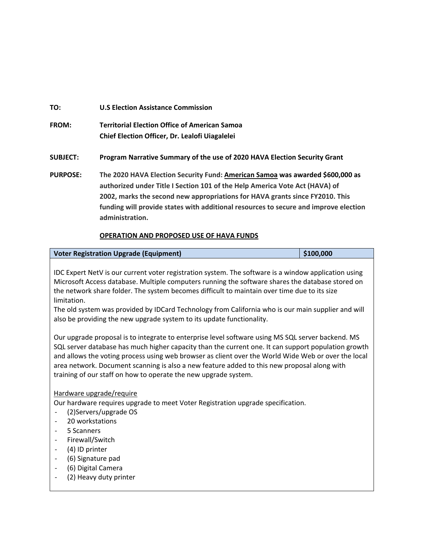## **TO: FROM: authorized under Title I Section 101 of the Help America Vote Act (HAVA) of funding will provide states with additional resources to secure and improve election administration. TO: U.S Election Assistance Commission Territorial Election Office of American Samoa Chief Election Officer, Dr. Lealofi Uiagalelei SUBJECT: Program Narrative Summary of the use of 2020 HAVA Election Security Grant PURPOSE: The 2020 HAVA Election Security Fund: American Samoa was awarded \$600,000 as 2002, marks the second new appropriations for HAVA grants since FY2010. This**

### **OPERATION AND PROPOSED USE OF HAVA FUNDS**

| Voter Registration Upgrade (Equipment) | \$100,000 |
|----------------------------------------|-----------|
|                                        |           |

 the network share folder. The system becomes difficult to maintain over time due to its size IDC Expert NetV is our current voter registration system. The software is a window application using Microsoft Access database. Multiple computers running the software shares the database stored on limitation.

The old system was provided by IDCard Technology from California who is our main supplier and will also be providing the new upgrade system to its update functionality.

 and allows the voting process using web browser as client over the World Wide Web or over the local Our upgrade proposal is to integrate to enterprise level software using MS SQL server backend. MS SQL server database has much higher capacity than the current one. It can support population growth area network. Document scanning is also a new feature added to this new proposal along with training of our staff on how to operate the new upgrade system.

#### Hardware upgrade/require

Our hardware requires upgrade to meet Voter Registration upgrade specification.

- (2)Servers/upgrade OS
- 20 workstations
- 5 Scanners
- Firewall/Switch
- (4) ID printer
- (6) Signature pad
- (6) Digital Camera
- (2) Heavy duty printer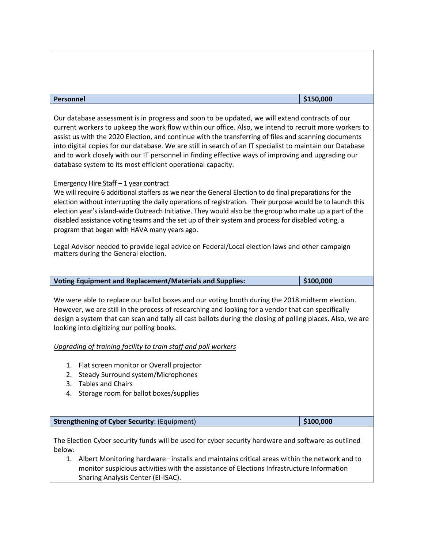| <b>Personnel</b>                                                                                                                                                                                                                                                                                                                                                                                                                                                                                                                                                                                  | \$150,000 |  |  |  |  |  |  |  |
|---------------------------------------------------------------------------------------------------------------------------------------------------------------------------------------------------------------------------------------------------------------------------------------------------------------------------------------------------------------------------------------------------------------------------------------------------------------------------------------------------------------------------------------------------------------------------------------------------|-----------|--|--|--|--|--|--|--|
| Our database assessment is in progress and soon to be updated, we will extend contracts of our<br>current workers to upkeep the work flow within our office. Also, we intend to recruit more workers to<br>assist us with the 2020 Election, and continue with the transferring of files and scanning documents<br>into digital copies for our database. We are still in search of an IT specialist to maintain our Database<br>and to work closely with our IT personnel in finding effective ways of improving and upgrading our<br>database system to its most efficient operational capacity. |           |  |  |  |  |  |  |  |
| Emergency Hire Staff - 1 year contract<br>We will require 6 additional staffers as we near the General Election to do final preparations for the<br>election without interrupting the daily operations of registration. Their purpose would be to launch this<br>election year's island-wide Outreach Initiative. They would also be the group who make up a part of the<br>disabled assistance voting teams and the set up of their system and process for disabled voting, a<br>program that began with HAVA many years ago.                                                                    |           |  |  |  |  |  |  |  |
| Legal Advisor needed to provide legal advice on Federal/Local election laws and other campaign<br>matters during the General election.                                                                                                                                                                                                                                                                                                                                                                                                                                                            |           |  |  |  |  |  |  |  |
| <b>Voting Equipment and Replacement/Materials and Supplies:</b>                                                                                                                                                                                                                                                                                                                                                                                                                                                                                                                                   | \$100,000 |  |  |  |  |  |  |  |
| We were able to replace our ballot boxes and our voting booth during the 2018 midterm election.<br>However, we are still in the process of researching and looking for a vendor that can specifically<br>design a system that can scan and tally all cast ballots during the closing of polling places. Also, we are<br>looking into digitizing our polling books.                                                                                                                                                                                                                                |           |  |  |  |  |  |  |  |
| Upgrading of training facility to train staff and poll workers                                                                                                                                                                                                                                                                                                                                                                                                                                                                                                                                    |           |  |  |  |  |  |  |  |
| 1. Flat screen monitor or Overall projector<br>Steady Surround system/Microphones<br>2.<br><b>Tables and Chairs</b><br>3.<br>Storage room for ballot boxes/supplies<br>4.                                                                                                                                                                                                                                                                                                                                                                                                                         |           |  |  |  |  |  |  |  |
|                                                                                                                                                                                                                                                                                                                                                                                                                                                                                                                                                                                                   |           |  |  |  |  |  |  |  |
| <b>Strengthening of Cyber Security: (Equipment)</b>                                                                                                                                                                                                                                                                                                                                                                                                                                                                                                                                               | \$100,000 |  |  |  |  |  |  |  |
| The Election Cyber security funds will be used for cyber security hardware and software as outlined<br>below:<br>Albert Monitoring hardware-installs and maintains critical areas within the network and to<br>1.<br>monitor suspicious activities with the assistance of Elections Infrastructure Information                                                                                                                                                                                                                                                                                    |           |  |  |  |  |  |  |  |

Sharing Analysis Center (EI-ISAC).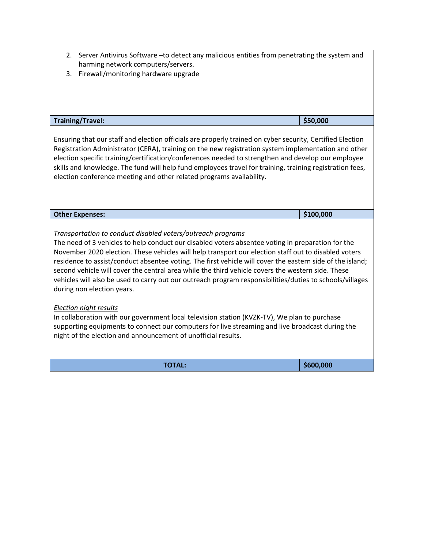- 2. Server Antivirus Software –to detect any malicious entities from penetrating the system and harming network computers/servers.
- 3. Firewall/monitoring hardware upgrade

| <b>Training/Travel:</b>                                                                                                                                                                                                                                                                                                                                                                                                                                                                                                                                                                                                              | \$50,000  |  |  |  |  |  |  |
|--------------------------------------------------------------------------------------------------------------------------------------------------------------------------------------------------------------------------------------------------------------------------------------------------------------------------------------------------------------------------------------------------------------------------------------------------------------------------------------------------------------------------------------------------------------------------------------------------------------------------------------|-----------|--|--|--|--|--|--|
| Ensuring that our staff and election officials are properly trained on cyber security, Certified Election<br>Registration Administrator (CERA), training on the new registration system implementation and other<br>election specific training/certification/conferences needed to strengthen and develop our employee<br>skills and knowledge. The fund will help fund employees travel for training, training registration fees,<br>election conference meeting and other related programs availability.                                                                                                                           |           |  |  |  |  |  |  |
| <b>Other Expenses:</b>                                                                                                                                                                                                                                                                                                                                                                                                                                                                                                                                                                                                               | \$100,000 |  |  |  |  |  |  |
| Transportation to conduct disabled voters/outreach programs<br>The need of 3 vehicles to help conduct our disabled voters absentee voting in preparation for the<br>November 2020 election. These vehicles will help transport our election staff out to disabled voters<br>residence to assist/conduct absentee voting. The first vehicle will cover the eastern side of the island;<br>second vehicle will cover the central area while the third vehicle covers the western side. These<br>vehicles will also be used to carry out our outreach program responsibilities/duties to schools/villages<br>during non election years. |           |  |  |  |  |  |  |
| Election night results<br>In collaboration with our government local television station (KVZK-TV), We plan to purchase<br>supporting equipments to connect our computers for live streaming and live broadcast during the<br>night of the election and announcement of unofficial results.                                                                                                                                                                                                                                                                                                                                           |           |  |  |  |  |  |  |
| <b>TOTAL:</b>                                                                                                                                                                                                                                                                                                                                                                                                                                                                                                                                                                                                                        | \$600,000 |  |  |  |  |  |  |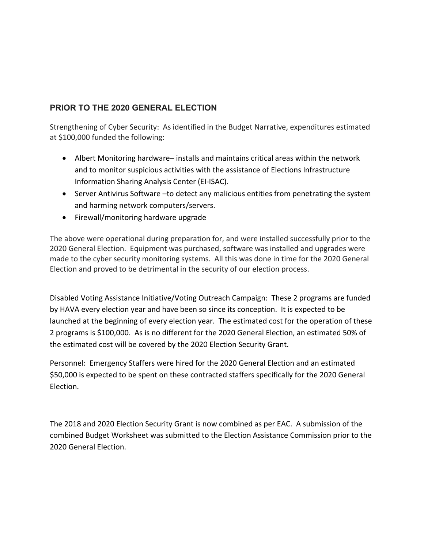## **PRIOR TO THE 2020 GENERAL ELECTION**

Strengthening of Cyber Security: As identified in the Budget Narrative, expenditures estimated at \$100,000 funded the following:

- Information Sharing Analysis Center (EI-ISAC). • Albert Monitoring hardware– installs and maintains critical areas within the network and to monitor suspicious activities with the assistance of Elections Infrastructure
- Server Antivirus Software –to detect any malicious entities from penetrating the system and harming network computers/servers.
- Firewall/monitoring hardware upgrade

 The above were operational during preparation for, and were installed successfully prior to the 2020 General Election. Equipment was purchased, software was installed and upgrades were made to the cyber security monitoring systems. All this was done in time for the 2020 General Election and proved to be detrimental in the security of our election process.

 by HAVA every election year and have been so since its conception. It is expected to be Disabled Voting Assistance Initiative/Voting Outreach Campaign: These 2 programs are funded launched at the beginning of every election year. The estimated cost for the operation of these 2 programs is \$100,000. As is no different for the 2020 General Election, an estimated 50% of the estimated cost will be covered by the 2020 Election Security Grant.

Personnel: Emergency Staffers were hired for the 2020 General Election and an estimated \$50,000 is expected to be spent on these contracted staffers specifically for the 2020 General Election.

 2020 General Election. The 2018 and 2020 Election Security Grant is now combined as per EAC. A submission of the combined Budget Worksheet was submitted to the Election Assistance Commission prior to the